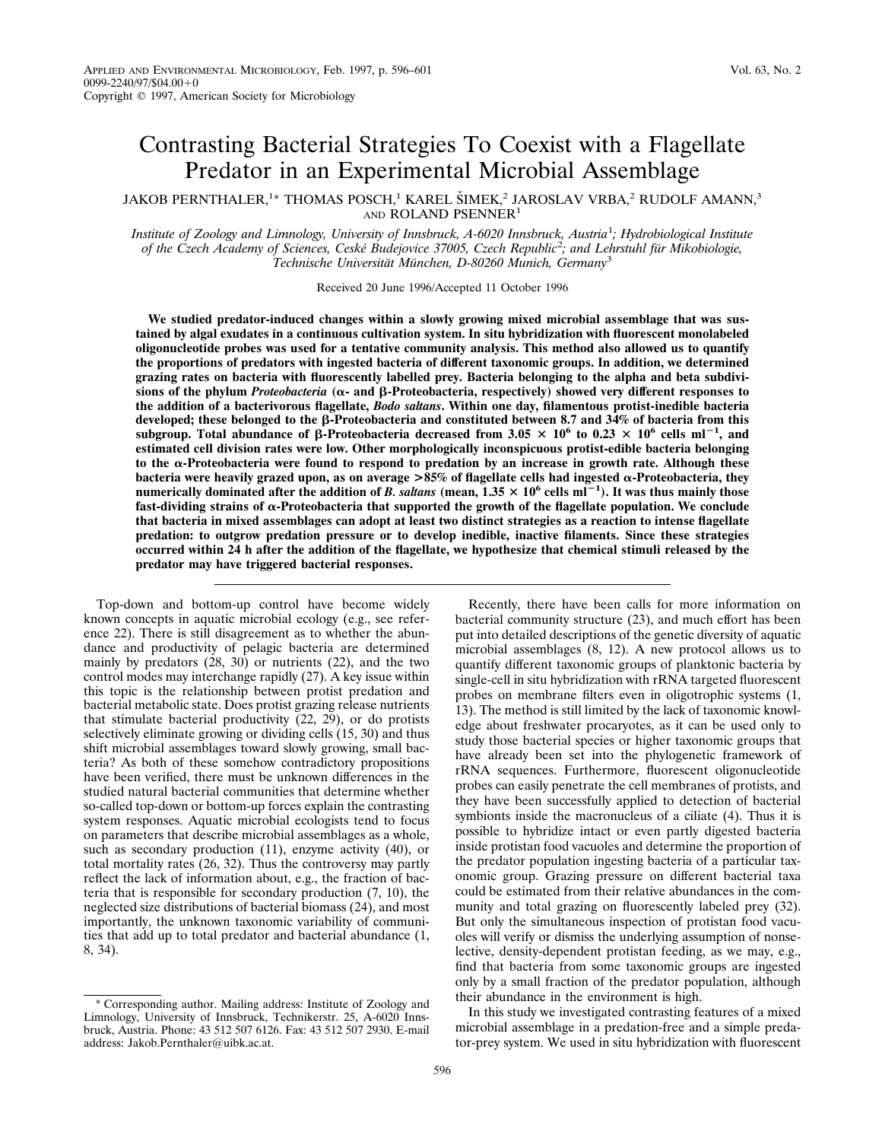# Contrasting Bacterial Strategies To Coexist with a Flagellate Predator in an Experimental Microbial Assemblage

JAKOB PERNTHALER,<sup>1</sup>\* THOMAS POSCH,<sup>1</sup> KAREL ŠIMEK,<sup>2</sup> JAROSLAV VRBA,<sup>2</sup> RUDOLF AMANN,<sup>3</sup> AND ROLAND PSENNER<sup>1</sup>

*Institute of Zoology and Limnology, University of Innsbruck, A-6020 Innsbruck, Austria*<sup>1</sup> *; Hydrobiological Institute of the Czech Academy of Sciences, Ceske´ Budejovice 37005, Czech Republic*<sup>2</sup> *; and Lehrstuhl fu¨r Mikobiologie, Technische Universita¨t Mu¨nchen, D-80260 Munich, Germany*<sup>3</sup>

Received 20 June 1996/Accepted 11 October 1996

**We studied predator-induced changes within a slowly growing mixed microbial assemblage that was sustained by algal exudates in a continuous cultivation system. In situ hybridization with fluorescent monolabeled oligonucleotide probes was used for a tentative community analysis. This method also allowed us to quantify the proportions of predators with ingested bacteria of different taxonomic groups. In addition, we determined grazing rates on bacteria with fluorescently labelled prey. Bacteria belonging to the alpha and beta subdivi**sions of the phylum *Proteobacteria*  $(\alpha$ - and  $\beta$ -Proteobacteria, respectively) showed very different responses to **the addition of a bacterivorous flagellate,** *Bodo saltans***. Within one day, filamentous protist-inedible bacteria developed; these belonged to the** b**-Proteobacteria and constituted between 8.7 and 34% of bacteria from this**  $s$ ubgroup. Total abundance of  $\beta$ -Proteobacteria decreased from 3.05  $\times$  10<sup>6</sup> to 0.23  $\times$  10<sup>6</sup> cells ml<sup>-1</sup>, and **estimated cell division rates were low. Other morphologically inconspicuous protist-edible bacteria belonging to the** a**-Proteobacteria were found to respond to predation by an increase in growth rate. Although these bacteria were heavily grazed upon, as on average >85% of flagellate cells had ingested** a**-Proteobacteria, they numerically dominated after the addition of** *B. saltans* **(mean,**  $1.35 \times 10^6$  **cells ml<sup>-1</sup>). It was thus mainly those fast-dividing strains of** a**-Proteobacteria that supported the growth of the flagellate population. We conclude that bacteria in mixed assemblages can adopt at least two distinct strategies as a reaction to intense flagellate predation: to outgrow predation pressure or to develop inedible, inactive filaments. Since these strategies occurred within 24 h after the addition of the flagellate, we hypothesize that chemical stimuli released by the predator may have triggered bacterial responses.**

Top-down and bottom-up control have become widely known concepts in aquatic microbial ecology (e.g., see reference 22). There is still disagreement as to whether the abundance and productivity of pelagic bacteria are determined mainly by predators (28, 30) or nutrients (22), and the two control modes may interchange rapidly (27). A key issue within this topic is the relationship between protist predation and bacterial metabolic state. Does protist grazing release nutrients that stimulate bacterial productivity  $(22, 29)$ , or do protists selectively eliminate growing or dividing cells (15, 30) and thus shift microbial assemblages toward slowly growing, small bacteria? As both of these somehow contradictory propositions have been verified, there must be unknown differences in the studied natural bacterial communities that determine whether so-called top-down or bottom-up forces explain the contrasting system responses. Aquatic microbial ecologists tend to focus on parameters that describe microbial assemblages as a whole, such as secondary production (11), enzyme activity (40), or total mortality rates (26, 32). Thus the controversy may partly reflect the lack of information about, e.g., the fraction of bacteria that is responsible for secondary production (7, 10), the neglected size distributions of bacterial biomass (24), and most importantly, the unknown taxonomic variability of communities that add up to total predator and bacterial abundance (1, 8, 34).

\* Corresponding author. Mailing address: Institute of Zoology and Limnology, University of Innsbruck, Technikerstr. 25, A-6020 Innsbruck, Austria. Phone: 43 512 507 6126. Fax: 43 512 507 2930. E-mail address: Jakob.Pernthaler@uibk.ac.at.

Recently, there have been calls for more information on bacterial community structure (23), and much effort has been put into detailed descriptions of the genetic diversity of aquatic microbial assemblages (8, 12). A new protocol allows us to quantify different taxonomic groups of planktonic bacteria by single-cell in situ hybridization with rRNA targeted fluorescent probes on membrane filters even in oligotrophic systems (1, 13). The method is still limited by the lack of taxonomic knowledge about freshwater procaryotes, as it can be used only to study those bacterial species or higher taxonomic groups that have already been set into the phylogenetic framework of rRNA sequences. Furthermore, fluorescent oligonucleotide probes can easily penetrate the cell membranes of protists, and they have been successfully applied to detection of bacterial symbionts inside the macronucleus of a ciliate (4). Thus it is possible to hybridize intact or even partly digested bacteria inside protistan food vacuoles and determine the proportion of the predator population ingesting bacteria of a particular taxonomic group. Grazing pressure on different bacterial taxa could be estimated from their relative abundances in the community and total grazing on fluorescently labeled prey (32). But only the simultaneous inspection of protistan food vacuoles will verify or dismiss the underlying assumption of nonselective, density-dependent protistan feeding, as we may, e.g., find that bacteria from some taxonomic groups are ingested only by a small fraction of the predator population, although their abundance in the environment is high.

In this study we investigated contrasting features of a mixed microbial assemblage in a predation-free and a simple predator-prey system. We used in situ hybridization with fluorescent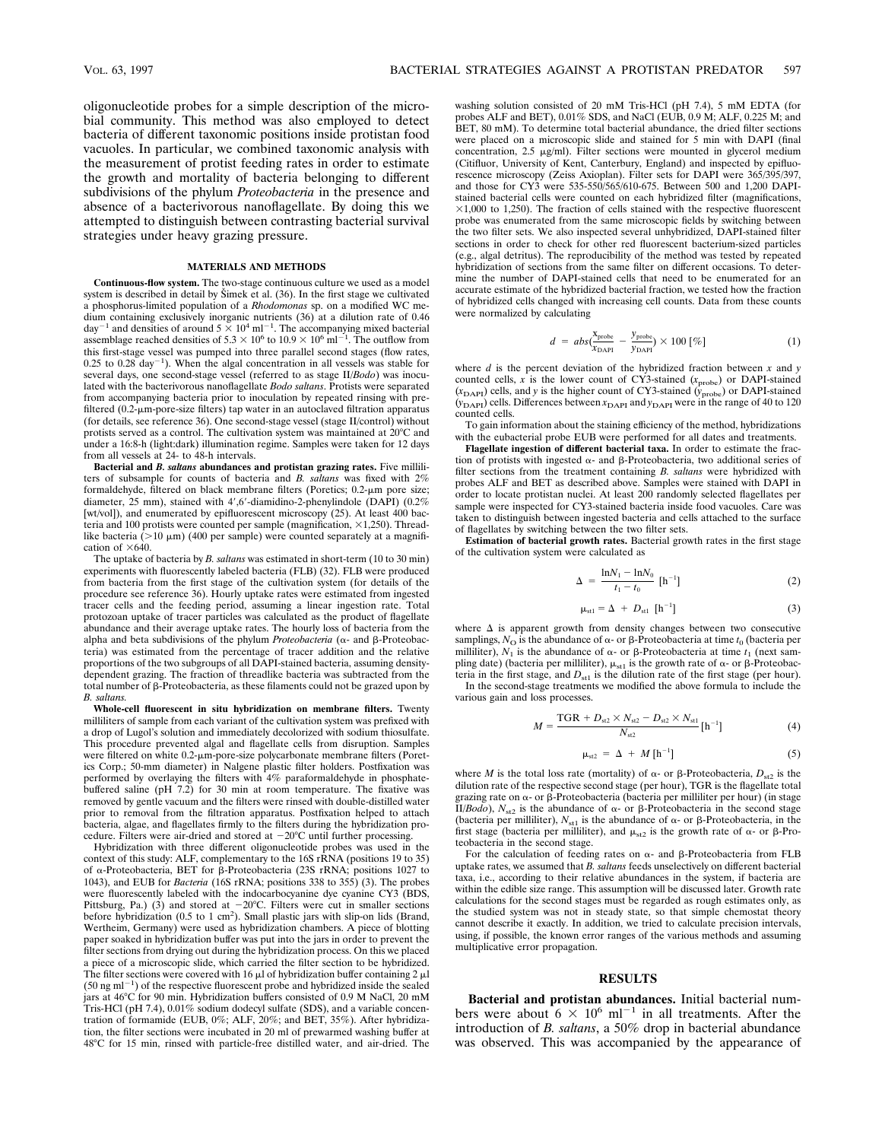oligonucleotide probes for a simple description of the microbial community. This method was also employed to detect bacteria of different taxonomic positions inside protistan food vacuoles. In particular, we combined taxonomic analysis with the measurement of protist feeding rates in order to estimate the growth and mortality of bacteria belonging to different subdivisions of the phylum *Proteobacteria* in the presence and absence of a bacterivorous nanoflagellate. By doing this we attempted to distinguish between contrasting bacterial survival strategies under heavy grazing pressure.

### **MATERIALS AND METHODS**

**Continuous-flow system.** The two-stage continuous culture we used as a model system is described in detail by Simek et al. (36). In the first stage we cultivated a phosphorus-limited population of a *Rhodomonas* sp. on a modified WC medium containing exclusively inorganic nutrients (36) at a dilution rate of 0.46 day<sup>-1</sup> and densities of around  $5 \times 10^4$  ml<sup>-1</sup>. The accompanying mixed bacterial assemblage reached densities of  $5.3 \times 10^6$  to  $10.9 \times 10^6$  ml<sup>-1</sup>. The outflow from this first-stage vessel was pumped into three parallel second stages (flow rates,  $0.25$  to  $0.28$  day<sup>-1</sup>). When the algal concentration in all vessels was stable for several days, one second-stage vessel (referred to as stage II/*Bodo*) was inoculated with the bacterivorous nanoflagellate *Bodo saltans*. Protists were separated from accompanying bacteria prior to inoculation by repeated rinsing with prefiltered (0.2-um-pore-size filters) tap water in an autoclaved filtration apparatus (for details, see reference 36). One second-stage vessel (stage II/control) without protists served as a control. The cultivation system was maintained at  $20^{\circ}$ C and under a 16:8-h (light:dark) illumination regime. Samples were taken for 12 days from all vessels at 24- to 48-h intervals.

**Bacterial and** *B. saltans* **abundances and protistan grazing rates.** Five milliliters of subsample for counts of bacteria and *B. saltans* was fixed with 2% formaldehyde, filtered on black membrane filters (Poretics; 0.2-µm pore size; diameter, 25 mm), stained with 4',6'-diamidino-2-phenylindole (DAPI) (0.2% [wt/vol]), and enumerated by epifluorescent microscopy (25). At least 400 bacteria and 100 protists were counted per sample (magnification,  $\times$ 1,250). Threadlike bacteria ( $>$ 10  $\mu$ m) (400 per sample) were counted separately at a magnification of  $\times 640$ .

The uptake of bacteria by *B. saltans* was estimated in short-term (10 to 30 min) experiments with fluorescently labeled bacteria (FLB) (32). FLB were produced from bacteria from the first stage of the cultivation system (for details of the procedure see reference 36). Hourly uptake rates were estimated from ingested tracer cells and the feeding period, assuming a linear ingestion rate. Total protozoan uptake of tracer particles was calculated as the product of flagellate abundance and their average uptake rates. The hourly loss of bacteria from the alpha and beta subdivisions of the phylum *Proteobacteria* ( $\alpha$ - and  $\beta$ -Proteobacteria) was estimated from the percentage of tracer addition and the relative proportions of the two subgroups of all DAPI-stained bacteria, assuming densitydependent grazing. The fraction of threadlike bacteria was subtracted from the total number of  $\beta$ -Proteobacteria, as these filaments could not be grazed upon by *B. saltans.*

**Whole-cell fluorescent in situ hybridization on membrane filters.** Twenty milliliters of sample from each variant of the cultivation system was prefixed with a drop of Lugol's solution and immediately decolorized with sodium thiosulfate. This procedure prevented algal and flagellate cells from disruption. Samples were filtered on white 0.2- $\mu$ m-pore-size polycarbonate membrane filters (Poretics Corp.; 50-mm diameter) in Nalgene plastic filter holders. Postfixation was performed by overlaying the filters with 4% paraformaldehyde in phosphatebuffered saline (pH 7.2) for 30 min at room temperature. The fixative was removed by gentle vacuum and the filters were rinsed with double-distilled water prior to removal from the filtration apparatus. Postfixation helped to attach bacteria, algae, and flagellates firmly to the filters during the hybridization procedure. Filters were air-dried and stored at  $-20^{\circ}$ C until further processing.

Hybridization with three different oligonucleotide probes was used in the context of this study: ALF, complementary to the 16S rRNA (positions 19 to 35) of  $\alpha$ -Proteobacteria, BET for  $\beta$ -Proteobacteria (23S rRNA; positions 1027 to 1043), and EUB for *Bacteria* (16S rRNA; positions 338 to 355) (3). The probes were fluorescently labeled with the indocarbocyanine dye cyanine CY3 (BDS, Pittsburg, Pa.) (3) and stored at  $-20^{\circ}$ C. Filters were cut in smaller sections before hybridization (0.5 to 1 cm<sup>2</sup>). Small plastic jars with slip-on lids (Brand, Wertheim, Germany) were used as hybridization chambers. A piece of blotting paper soaked in hybridization buffer was put into the jars in order to prevent the filter sections from drying out during the hybridization process. On this we placed a piece of a microscopic slide, which carried the filter section to be hybridized. The filter sections were covered with  $16 \mu$  of hybridization buffer containing 2  $\mu$  $(50 \text{ ng ml}^{-1})$  of the respective fluorescent probe and hybridized inside the sealed jars at 46°C for 90 min. Hybridization buffers consisted of 0.9 M NaCl, 20 mM Tris-HCl (pH 7.4), 0.01% sodium dodecyl sulfate (SDS), and a variable concentration of formamide (EUB, 0%; ALF, 20%; and BET, 35%). After hybridization, the filter sections were incubated in 20 ml of prewarmed washing buffer at 48°C for 15 min, rinsed with particle-free distilled water, and air-dried. The washing solution consisted of 20 mM Tris-HCl (pH 7.4), 5 mM EDTA (for probes ALF and BET), 0.01% SDS, and NaCl (EUB, 0.9 M; ALF, 0.225 M; and BET, 80 mM). To determine total bacterial abundance, the dried filter sections were placed on a microscopic slide and stained for 5 min with DAPI (final concentration,  $2.5 \mu g/ml$ . Filter sections were mounted in glycerol medium (Citifluor, University of Kent, Canterbury, England) and inspected by epifluorescence microscopy (Zeiss Axioplan). Filter sets for DAPI were 365/395/397, and those for CY3 were 535-550/565/610-675. Between 500 and 1,200 DAPIstained bacterial cells were counted on each hybridized filter (magnifications,  $\times$ 1,000 to 1,250). The fraction of cells stained with the respective fluorescent probe was enumerated from the same microscopic fields by switching between the two filter sets. We also inspected several unhybridized, DAPI-stained filter sections in order to check for other red fluorescent bacterium-sized particles (e.g., algal detritus). The reproducibility of the method was tested by repeated hybridization of sections from the same filter on different occasions. To determine the number of DAPI-stained cells that need to be enumerated for an accurate estimate of the hybridized bacterial fraction, we tested how the fraction of hybridized cells changed with increasing cell counts. Data from these counts were normalized by calculating

$$
d = abs(\frac{X_{\text{probe}}}{X_{\text{DAPI}}} - \frac{y_{\text{probe}}}{y_{\text{DAPI}}}) \times 100 \, [\%]
$$
 (1)

where *d* is the percent deviation of the hybridized fraction between *x* and *y* counted cells,  $\hat{x}$  is the lower count of CY3-stained ( $x_{\text{probe}}$ ) or DAPI-stained  $(x<sub>DAPI</sub>)$  cells, and *y* is the higher count of CY3-stained  $(y<sub>probe</sub>)$  or DAPI-stained  $(y<sub>DAPI</sub>)$  cells. Differences between  $x<sub>DAPI</sub>$  and  $y<sub>DAPI</sub>$  were in the range of 40 to 120 counted cells.

To gain information about the staining efficiency of the method, hybridizations with the eubacterial probe EUB were performed for all dates and treatments.

**Flagellate ingestion of different bacterial taxa.** In order to estimate the fraction of protists with ingested  $\alpha$ - and  $\beta$ -Proteobacteria, two additional series of filter sections from the treatment containing *B. saltans* were hybridized with probes ALF and BET as described above. Samples were stained with DAPI in order to locate protistan nuclei. At least 200 randomly selected flagellates per sample were inspected for CY3-stained bacteria inside food vacuoles. Care was taken to distinguish between ingested bacteria and cells attached to the surface of flagellates by switching between the two filter sets.

**Estimation of bacterial growth rates.** Bacterial growth rates in the first stage of the cultivation system were calculated as

$$
\Delta = \frac{\ln N_1 - \ln N_0}{t_1 - t_0} \text{ [h}^{-1]}
$$
 (2)

$$
\mu_{\text{st1}} = \Delta + D_{\text{st1}} \left[ h^{-1} \right] \tag{3}
$$

where  $\Delta$  is apparent growth from density changes between two consecutive samplings,  $N_{\rm O}$  is the abundance of  $\alpha$ - or  $\beta$ -Proteobacteria at time  $t_0$  (bacteria per milliliter),  $N_1$  is the abundance of  $\alpha$ - or  $\beta$ -Proteobacteria at time  $t_1$  (next sampling date) (bacteria per milliliter),  $\mu_{\text{st1}}$  is the growth rate of  $\alpha$ - or  $\beta$ -Proteobacteria in the first stage, and  $D_{\text{st1}}$  is the dilution rate of the first stage (per hour). In the second-stage treatments we modified the above formula to include the

various gain and loss processes.

$$
M = \frac{\text{TGR} + D_{s2} \times N_{s2} - D_{s2} \times N_{s1}}{N_{s2}} [\text{h}^{-1}]
$$
(4)

$$
\mu_{\text{st2}} = \Delta + M \left[ h^{-1} \right] \tag{5}
$$

where *M* is the total loss rate (mortality) of  $\alpha$ - or  $\beta$ -Proteobacteria,  $D_{\alpha}$  is the dilution rate of the respective second stage (per hour), TGR is the flagellate total grazing rate on  $\alpha$ - or  $\beta$ -Proteobacteria (bacteria per milliliter per hour) (in stage II/*Bodo*),  $N_{\text{st2}}$  is the abundance of  $\alpha$ - or  $\beta$ -Proteobacteria in the second stage (bacteria per milliliter),  $N_{\text{st1}}$  is the abundance of  $\alpha$ - or  $\beta$ -Proteobacteria, in the first stage (bacteria per milliliter), and  $\mu_{st2}$  is the growth rate of  $\alpha$ - or  $\beta$ -Proteobacteria in the second stage.

For the calculation of feeding rates on  $\alpha$ - and  $\beta$ -Proteobacteria from FLB uptake rates, we assumed that *B. saltans* feeds unselectively on different bacterial taxa, i.e., according to their relative abundances in the system, if bacteria are within the edible size range. This assumption will be discussed later. Growth rate calculations for the second stages must be regarded as rough estimates only, as the studied system was not in steady state, so that simple chemostat theory cannot describe it exactly. In addition, we tried to calculate precision intervals, using, if possible, the known error ranges of the various methods and assuming multiplicative error propagation.

#### **RESULTS**

**Bacterial and protistan abundances.** Initial bacterial numbers were about  $6 \times 10^6$  ml<sup>-1</sup> in all treatments. After the introduction of *B. saltans*, a 50% drop in bacterial abundance was observed. This was accompanied by the appearance of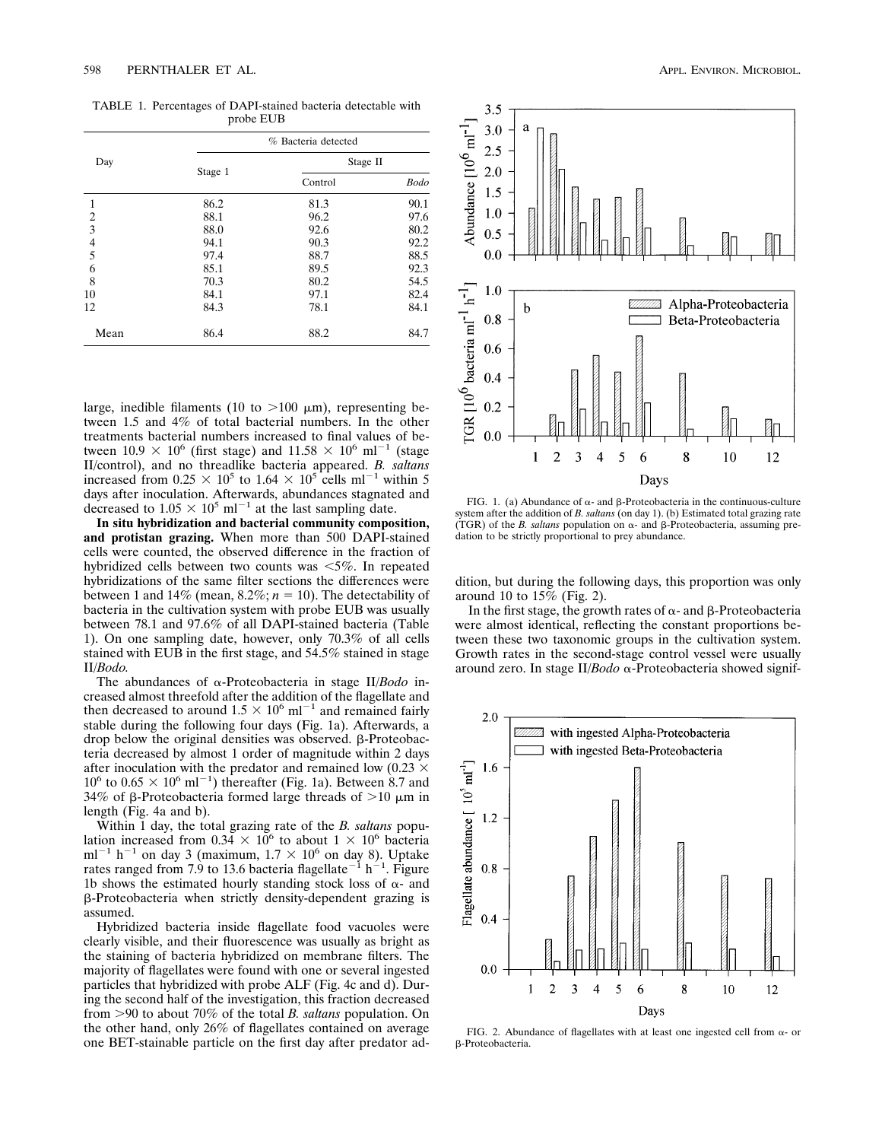TABLE 1. Percentages of DAPI-stained bacteria detectable with probe EUB

| Day            | % Bacteria detected |          |             |
|----------------|---------------------|----------|-------------|
|                | Stage 1             | Stage II |             |
|                |                     | Control  | <b>Bodo</b> |
| 1              | 86.2                | 81.3     | 90.1        |
| 2              | 88.1                | 96.2     | 97.6        |
| $\overline{3}$ | 88.0                | 92.6     | 80.2        |
|                | 94.1                | 90.3     | 92.2        |
| $\frac{4}{5}$  | 97.4                | 88.7     | 88.5        |
| 6              | 85.1                | 89.5     | 92.3        |
| 8              | 70.3                | 80.2     | 54.5        |
| 10             | 84.1                | 97.1     | 82.4        |
| 12             | 84.3                | 78.1     | 84.1        |
| Mean           | 86.4                | 88.2     | 84.7        |

large, inedible filaments (10 to  $>100 \mu m$ ), representing between 1.5 and 4% of total bacterial numbers. In the other treatments bacterial numbers increased to final values of between  $10.9 \times 10^6$  (first stage) and  $11.58 \times 10^6$  ml<sup>-1</sup> (stage II/control), and no threadlike bacteria appeared. *B. saltans* increased from  $0.25 \times 10^5$  to  $1.64 \times 10^5$  cells ml<sup>-1</sup> within 5 days after inoculation. Afterwards, abundances stagnated and decreased to  $1.05 \times 10^5$  ml<sup>-1</sup> at the last sampling date.

**In situ hybridization and bacterial community composition, and protistan grazing.** When more than 500 DAPI-stained cells were counted, the observed difference in the fraction of hybridized cells between two counts was  $\leq 5\%$ . In repeated hybridizations of the same filter sections the differences were between 1 and 14% (mean,  $8.2\%$ ;  $n = 10$ ). The detectability of bacteria in the cultivation system with probe EUB was usually between 78.1 and 97.6% of all DAPI-stained bacteria (Table 1). On one sampling date, however, only 70.3% of all cells stained with EUB in the first stage, and 54.5% stained in stage II/*Bodo.*

The abundances of a-Proteobacteria in stage II/*Bodo* increased almost threefold after the addition of the flagellate and then decreased to around  $1.5 \times 10^6$  ml<sup>-1</sup> and remained fairly stable during the following four days (Fig. 1a). Afterwards, a drop below the original densities was observed.  $\beta$ -Proteobacteria decreased by almost 1 order of magnitude within 2 days after inoculation with the predator and remained low (0.23  $\times$  $10^6$  to  $0.65 \times 10^6$  ml<sup>-1</sup>) thereafter (Fig. 1a). Between 8.7 and 34% of  $\beta$ -Proteobacteria formed large threads of  $>10 \mu m$  in length (Fig. 4a and b).

Within 1 day, the total grazing rate of the *B. saltans* population increased from  $0.34 \times 10^6$  to about  $1 \times 10^6$  bacteria ml<sup>-1</sup> h<sup>-1</sup> on day 3 (maximum,  $1.7 \times 10^6$  on day 8). Uptake rates ranged from 7.9 to 13.6 bacteria flagellate<sup>-1</sup> h<sup>-1</sup>. Figure 1b shows the estimated hourly standing stock loss of  $\alpha$ - and b-Proteobacteria when strictly density-dependent grazing is assumed.

Hybridized bacteria inside flagellate food vacuoles were clearly visible, and their fluorescence was usually as bright as the staining of bacteria hybridized on membrane filters. The majority of flagellates were found with one or several ingested particles that hybridized with probe ALF (Fig. 4c and d). During the second half of the investigation, this fraction decreased from .90 to about 70% of the total *B. saltans* population. On the other hand, only 26% of flagellates contained on average one BET-stainable particle on the first day after predator ad-

Abundance  $[10^6 \text{ m}]^{-1}$  $0.5$  $0.0$ TGR [10<sup>6</sup> bacteria mI<sup>-1</sup> h<sup>-1</sup>] 1.0 Alpha-Proteobacteria a b  $0.8$ Beta-Proteobacteria  $0.6\,$  $0.4$  $0.2$  $0.0$  $\overline{2}$ 3  $\overline{4}$ 5 10 1 6 8 12

3.5

3.0

 $2.5$  $2.0$ 1.5 1.0

a



Days

dition, but during the following days, this proportion was only around 10 to 15% (Fig. 2).

In the first stage, the growth rates of  $\alpha$ - and  $\beta$ -Proteobacteria were almost identical, reflecting the constant proportions between these two taxonomic groups in the cultivation system. Growth rates in the second-stage control vessel were usually around zero. In stage II/*Bodo* a-Proteobacteria showed signif-



FIG. 2. Abundance of flagellates with at least one ingested cell from  $\alpha$ - or b-Proteobacteria.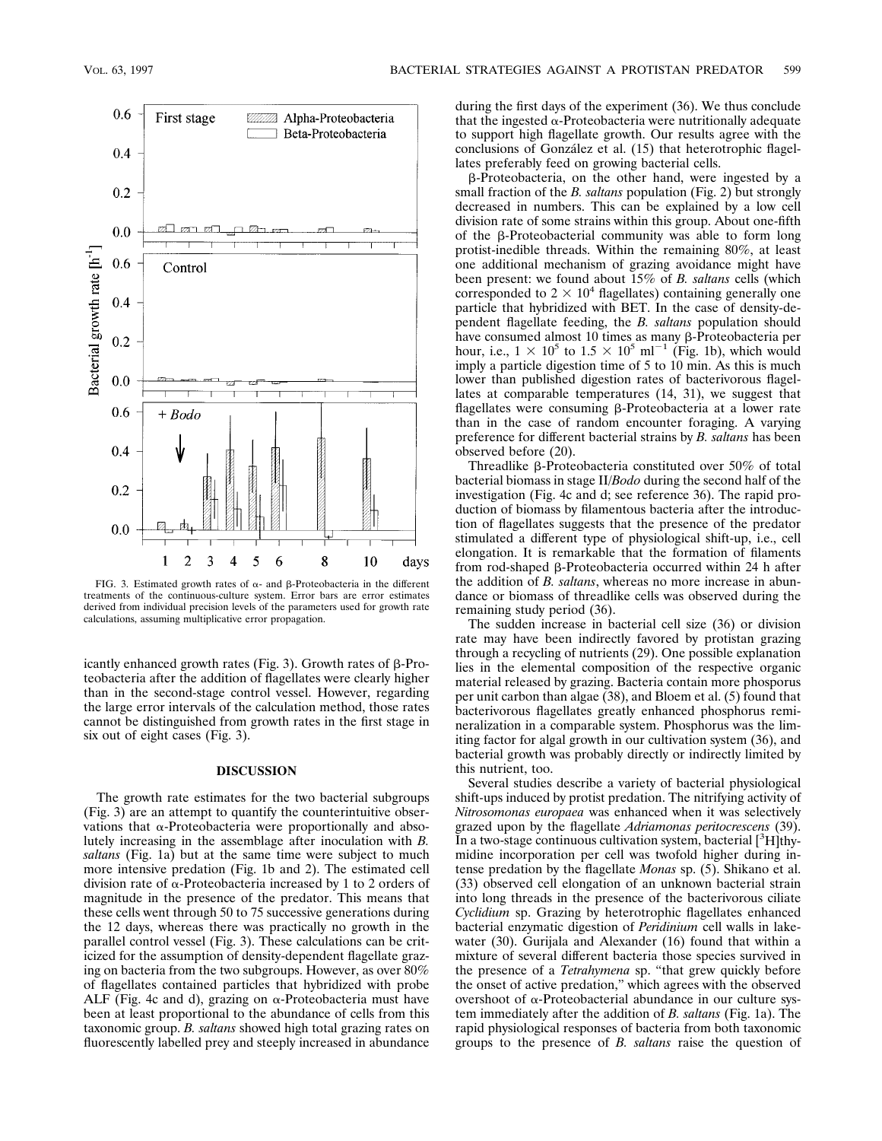

FIG. 3. Estimated growth rates of  $\alpha$ - and  $\beta$ -Proteobacteria in the different treatments of the continuous-culture system. Error bars are error estimates derived from individual precision levels of the parameters used for growth rate calculations, assuming multiplicative error propagation.

icantly enhanced growth rates (Fig. 3). Growth rates of  $\beta$ -Proteobacteria after the addition of flagellates were clearly higher than in the second-stage control vessel. However, regarding the large error intervals of the calculation method, those rates cannot be distinguished from growth rates in the first stage in six out of eight cases (Fig. 3).

### **DISCUSSION**

The growth rate estimates for the two bacterial subgroups (Fig. 3) are an attempt to quantify the counterintuitive observations that  $\alpha$ -Proteobacteria were proportionally and absolutely increasing in the assemblage after inoculation with *B. saltans* (Fig. 1a) but at the same time were subject to much more intensive predation (Fig. 1b and 2). The estimated cell division rate of  $\alpha$ -Proteobacteria increased by 1 to 2 orders of magnitude in the presence of the predator. This means that these cells went through 50 to 75 successive generations during the 12 days, whereas there was practically no growth in the parallel control vessel (Fig. 3). These calculations can be criticized for the assumption of density-dependent flagellate grazing on bacteria from the two subgroups. However, as over 80% of flagellates contained particles that hybridized with probe ALF (Fig. 4c and d), grazing on  $\alpha$ -Proteobacteria must have been at least proportional to the abundance of cells from this taxonomic group. *B. saltans* showed high total grazing rates on fluorescently labelled prey and steeply increased in abundance during the first days of the experiment (36). We thus conclude that the ingested  $\alpha$ -Proteobacteria were nutritionally adequate to support high flagellate growth. Our results agree with the conclusions of González et al. (15) that heterotrophic flagellates preferably feed on growing bacterial cells.

b-Proteobacteria, on the other hand, were ingested by a small fraction of the *B. saltans* population (Fig. 2) but strongly decreased in numbers. This can be explained by a low cell division rate of some strains within this group. About one-fifth of the  $\beta$ -Proteobacterial community was able to form long protist-inedible threads. Within the remaining 80%, at least one additional mechanism of grazing avoidance might have been present: we found about 15% of *B. saltans* cells (which corresponded to  $2 \times 10^4$  flagellates) containing generally one particle that hybridized with BET. In the case of density-dependent flagellate feeding, the *B. saltans* population should have consumed almost 10 times as many β-Proteobacteria per hour, i.e.,  $1 \times 10^5$  to  $1.5 \times 10^5$  ml<sup>-1</sup> (Fig. 1b), which would imply a particle digestion time of 5 to 10 min. As this is much lower than published digestion rates of bacterivorous flagellates at comparable temperatures (14, 31), we suggest that flagellates were consuming b-Proteobacteria at a lower rate than in the case of random encounter foraging. A varying preference for different bacterial strains by *B. saltans* has been observed before (20).

Threadlike b-Proteobacteria constituted over 50% of total bacterial biomass in stage II/*Bodo* during the second half of the investigation (Fig. 4c and d; see reference 36). The rapid production of biomass by filamentous bacteria after the introduction of flagellates suggests that the presence of the predator stimulated a different type of physiological shift-up, i.e., cell elongation. It is remarkable that the formation of filaments from rod-shaped b-Proteobacteria occurred within 24 h after the addition of *B. saltans*, whereas no more increase in abundance or biomass of threadlike cells was observed during the remaining study period (36).

The sudden increase in bacterial cell size (36) or division rate may have been indirectly favored by protistan grazing through a recycling of nutrients (29). One possible explanation lies in the elemental composition of the respective organic material released by grazing. Bacteria contain more phosporus per unit carbon than algae (38), and Bloem et al. (5) found that bacterivorous flagellates greatly enhanced phosphorus remineralization in a comparable system. Phosphorus was the limiting factor for algal growth in our cultivation system (36), and bacterial growth was probably directly or indirectly limited by this nutrient, too.

Several studies describe a variety of bacterial physiological shift-ups induced by protist predation. The nitrifying activity of *Nitrosomonas europaea* was enhanced when it was selectively grazed upon by the flagellate *Adriamonas peritocrescens* (39). In a two-stage continuous cultivation system, bacterial  $[^3H]$ thymidine incorporation per cell was twofold higher during intense predation by the flagellate *Monas* sp. (5). Shikano et al. (33) observed cell elongation of an unknown bacterial strain into long threads in the presence of the bacterivorous ciliate *Cyclidium* sp. Grazing by heterotrophic flagellates enhanced bacterial enzymatic digestion of *Peridinium* cell walls in lakewater (30). Gurijala and Alexander (16) found that within a mixture of several different bacteria those species survived in the presence of a *Tetrahymena* sp. "that grew quickly before the onset of active predation," which agrees with the observed overshoot of  $\alpha$ -Proteobacterial abundance in our culture system immediately after the addition of *B. saltans* (Fig. 1a). The rapid physiological responses of bacteria from both taxonomic groups to the presence of *B. saltans* raise the question of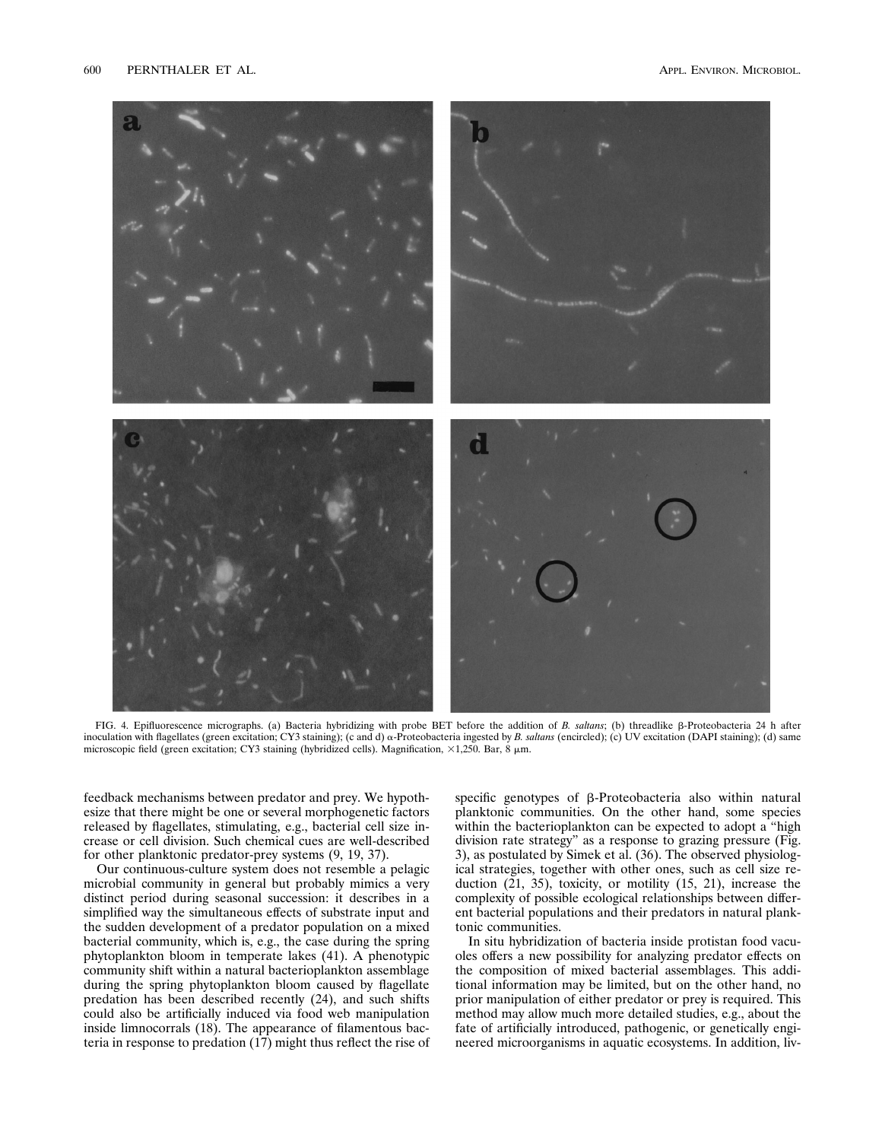

FIG. 4. Epifluorescence micrographs. (a) Bacteria hybridizing with probe BET before the addition of *B. saltans*; (b) threadlike  $\beta$ -Proteobacteria 24 h after inoculation with flagellates (green excitation; CY3 staining); (c and d) a-Proteobacteria ingested by *B. saltans* (encircled); (c) UV excitation (DAPI staining); (d) same microscopic field (green excitation; CY3 staining (hybridized cells). Magnification,  $\times$ 1,250. Bar, 8  $\mu$ m.

feedback mechanisms between predator and prey. We hypothesize that there might be one or several morphogenetic factors released by flagellates, stimulating, e.g., bacterial cell size increase or cell division. Such chemical cues are well-described for other planktonic predator-prey systems (9, 19, 37).

Our continuous-culture system does not resemble a pelagic microbial community in general but probably mimics a very distinct period during seasonal succession: it describes in a simplified way the simultaneous effects of substrate input and the sudden development of a predator population on a mixed bacterial community, which is, e.g., the case during the spring phytoplankton bloom in temperate lakes (41). A phenotypic community shift within a natural bacterioplankton assemblage during the spring phytoplankton bloom caused by flagellate predation has been described recently (24), and such shifts could also be artificially induced via food web manipulation inside limnocorrals (18). The appearance of filamentous bacteria in response to predation (17) might thus reflect the rise of specific genotypes of  $\beta$ -Proteobacteria also within natural planktonic communities. On the other hand, some species within the bacterioplankton can be expected to adopt a "high division rate strategy" as a response to grazing pressure (Fig. 3), as postulated by Simek et al. (36). The observed physiological strategies, together with other ones, such as cell size reduction (21, 35), toxicity, or motility (15, 21), increase the complexity of possible ecological relationships between different bacterial populations and their predators in natural planktonic communities.

In situ hybridization of bacteria inside protistan food vacuoles offers a new possibility for analyzing predator effects on the composition of mixed bacterial assemblages. This additional information may be limited, but on the other hand, no prior manipulation of either predator or prey is required. This method may allow much more detailed studies, e.g., about the fate of artificially introduced, pathogenic, or genetically engineered microorganisms in aquatic ecosystems. In addition, liv